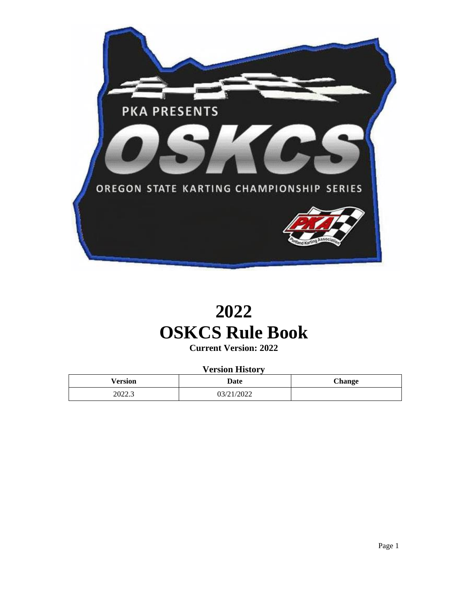

# **2022 OSKCS Rule Book**

**Current Version: 2022**

**Version History**

| Version | Date       | <b>Change</b> |
|---------|------------|---------------|
| 2022.3  | 03/21/2022 |               |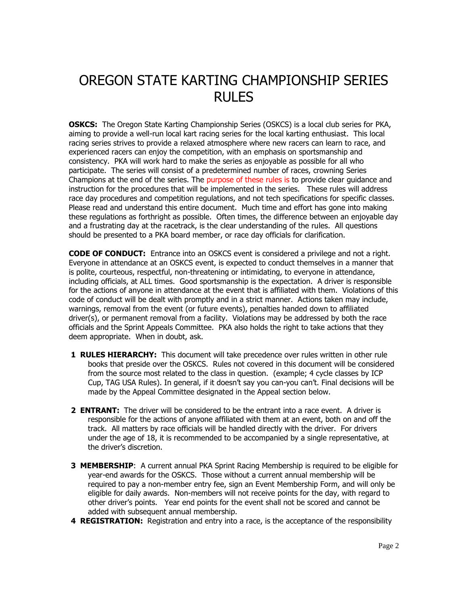# OREGON STATE KARTING CHAMPIONSHIP SERIES RULES

**OSKCS:** The Oregon State Karting Championship Series (OSKCS) is a local club series for PKA, aiming to provide a well-run local kart racing series for the local karting enthusiast. This local racing series strives to provide a relaxed atmosphere where new racers can learn to race, and experienced racers can enjoy the competition, with an emphasis on sportsmanship and consistency. PKA will work hard to make the series as enjoyable as possible for all who participate. The series will consist of a predetermined number of races, crowning Series Champions at the end of the series. The purpose of these rules is to provide clear guidance and instruction for the procedures that will be implemented in the series. These rules will address race day procedures and competition regulations, and not tech specifications for specific classes. Please read and understand this entire document. Much time and effort has gone into making these regulations as forthright as possible. Often times, the difference between an enjoyable day and a frustrating day at the racetrack, is the clear understanding of the rules. All questions should be presented to a PKA board member, or race day officials for clarification.

**CODE OF CONDUCT:** Entrance into an OSKCS event is considered a privilege and not a right. Everyone in attendance at an OSKCS event, is expected to conduct themselves in a manner that is polite, courteous, respectful, non-threatening or intimidating, to everyone in attendance, including officials, at ALL times. Good sportsmanship is the expectation. A driver is responsible for the actions of anyone in attendance at the event that is affiliated with them. Violations of this code of conduct will be dealt with promptly and in a strict manner. Actions taken may include, warnings, removal from the event (or future events), penalties handed down to affiliated driver(s), or permanent removal from a facility. Violations may be addressed by both the race officials and the Sprint Appeals Committee. PKA also holds the right to take actions that they deem appropriate. When in doubt, ask.

- **1 RULES HIERARCHY:** This document will take precedence over rules written in other rule books that preside over the OSKCS. Rules not covered in this document will be considered from the source most related to the class in question. (example; 4 cycle classes by ICP Cup, TAG USA Rules). In general, if it doesn't say you can-you can't. Final decisions will be made by the Appeal Committee designated in the Appeal section below.
- **2 ENTRANT:** The driver will be considered to be the entrant into a race event. A driver is responsible for the actions of anyone affiliated with them at an event, both on and off the track. All matters by race officials will be handled directly with the driver. For drivers under the age of 18, it is recommended to be accompanied by a single representative, at the driver's discretion.
- **3 MEMBERSHIP:** A current annual PKA Sprint Racing Membership is required to be eligible for year-end awards for the OSKCS. Those without a current annual membership will be required to pay a non-member entry fee, sign an Event Membership Form, and will only be eligible for daily awards. Non-members will not receive points for the day, with regard to other driver's points. Year end points for the event shall not be scored and cannot be added with subsequent annual membership.
- **4 REGISTRATION:** Registration and entry into a race, is the acceptance of the responsibility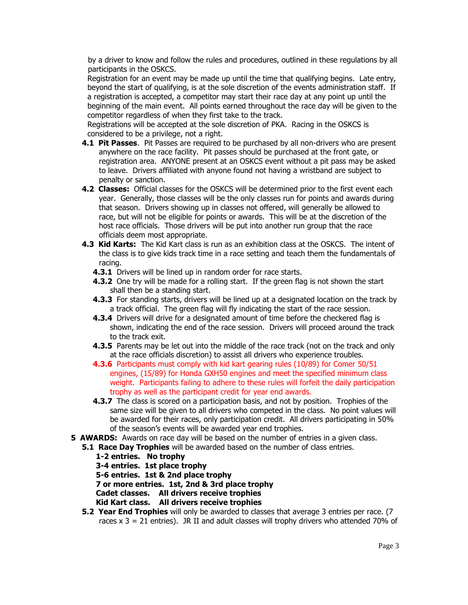by a driver to know and follow the rules and procedures, outlined in these regulations by all participants in the OSKCS.

Registration for an event may be made up until the time that qualifying begins. Late entry, beyond the start of qualifying, is at the sole discretion of the events administration staff. If a registration is accepted, a competitor may start their race day at any point up until the beginning of the main event. All points earned throughout the race day will be given to the competitor regardless of when they first take to the track.

Registrations will be accepted at the sole discretion of PKA. Racing in the OSKCS is considered to be a privilege, not a right.

- **4.1 Pit Passes**. Pit Passes are required to be purchased by all non-drivers who are present anywhere on the race facility. Pit passes should be purchased at the front gate, or registration area. ANYONE present at an OSKCS event without a pit pass may be asked to leave. Drivers affiliated with anyone found not having a wristband are subject to penalty or sanction.
- **4.2 Classes:** Official classes for the OSKCS will be determined prior to the first event each year. Generally, those classes will be the only classes run for points and awards during that season. Drivers showing up in classes not offered, will generally be allowed to race, but will not be eligible for points or awards. This will be at the discretion of the host race officials. Those drivers will be put into another run group that the race officials deem most appropriate.
- **4.3 Kid Karts:** The Kid Kart class is run as an exhibition class at the OSKCS. The intent of the class is to give kids track time in a race setting and teach them the fundamentals of racing.
	- **4.3.1** Drivers will be lined up in random order for race starts.
	- **4.3.2** One try will be made for a rolling start. If the green flag is not shown the start shall then be a standing start.
	- **4.3.3** For standing starts, drivers will be lined up at a designated location on the track by a track official. The green flag will fly indicating the start of the race session.
	- **4.3.4** Drivers will drive for a designated amount of time before the checkered flag is shown, indicating the end of the race session. Drivers will proceed around the track to the track exit.
	- **4.3.5** Parents may be let out into the middle of the race track (not on the track and only at the race officials discretion) to assist all drivers who experience troubles.
	- **4.3.6** Participants must comply with kid kart gearing rules (10/89) for Comer 50/51 engines, (15/89) for Honda GXH50 engines and meet the specified minimum class weight. Participants failing to adhere to these rules will forfeit the daily participation trophy as well as the participant credit for year end awards.
	- **4.3.7** The class is scored on a participation basis, and not by position. Trophies of the same size will be given to all drivers who competed in the class. No point values will be awarded for their races, only participation credit. All drivers participating in 50% of the season's events will be awarded year end trophies.
- **5 AWARDS:** Awards on race day will be based on the number of entries in a given class.
- **5.1 Race Day Trophies** will be awarded based on the number of class entries.
	- **1-2 entries. No trophy**
	- **3-4 entries. 1st place trophy**
	- **5-6 entries. 1st & 2nd place trophy**
	- **7 or more entries. 1st, 2nd & 3rd place trophy**
	- **Cadet classes. All drivers receive trophies**
	- **Kid Kart class. All drivers receive trophies**
	- **5.2 Year End Trophies** will only be awarded to classes that average 3 entries per race. (7 races  $x$  3 = 21 entries). JR II and adult classes will trophy drivers who attended 70% of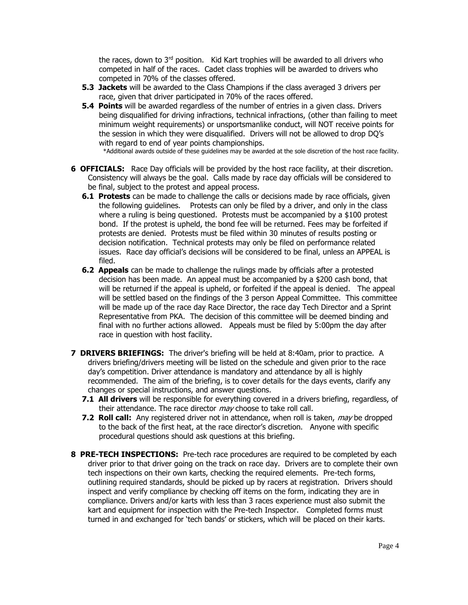the races, down to 3<sup>rd</sup> position. Kid Kart trophies will be awarded to all drivers who competed in half of the races. Cadet class trophies will be awarded to drivers who competed in 70% of the classes offered.

- **5.3 Jackets** will be awarded to the Class Champions if the class averaged 3 drivers per race, given that driver participated in 70% of the races offered.
- **5.4 Points** will be awarded regardless of the number of entries in a given class. Drivers being disqualified for driving infractions, technical infractions, (other than failing to meet minimum weight requirements) or unsportsmanlike conduct, will NOT receive points for the session in which they were disqualified. Drivers will not be allowed to drop DQ's with regard to end of year points championships.

\*Additional awards outside of these guidelines may be awarded at the sole discretion of the host race facility.

- **6 OFFICIALS:** Race Day officials will be provided by the host race facility, at their discretion. Consistency will always be the goal. Calls made by race day officials will be considered to be final, subject to the protest and appeal process.
	- **6.1 Protests** can be made to challenge the calls or decisions made by race officials, given the following guidelines. Protests can only be filed by a driver, and only in the class where a ruling is being questioned. Protests must be accompanied by a \$100 protest bond. If the protest is upheld, the bond fee will be returned. Fees may be forfeited if protests are denied. Protests must be filed within 30 minutes of results posting or decision notification. Technical protests may only be filed on performance related issues. Race day official's decisions will be considered to be final, unless an APPEAL is filed.
	- **6.2 Appeals** can be made to challenge the rulings made by officials after a protested decision has been made. An appeal must be accompanied by a \$200 cash bond, that will be returned if the appeal is upheld, or forfeited if the appeal is denied. The appeal will be settled based on the findings of the 3 person Appeal Committee. This committee will be made up of the race day Race Director, the race day Tech Director and a Sprint Representative from PKA. The decision of this committee will be deemed binding and final with no further actions allowed. Appeals must be filed by 5:00pm the day after race in question with host facility.
- **7 DRIVERS BRIEFINGS:** The driver's briefing will be held at 8:40am, prior to practice. A drivers briefing/drivers meeting will be listed on the schedule and given prior to the race day's competition. Driver attendance is mandatory and attendance by all is highly recommended. The aim of the briefing, is to cover details for the days events, clarify any changes or special instructions, and answer questions.
	- **7.1 All drivers** will be responsible for everything covered in a drivers briefing, regardless, of their attendance. The race director *mav* choose to take roll call.
	- **7.2 Roll call:** Any registered driver not in attendance, when roll is taken, *may* be dropped to the back of the first heat, at the race director's discretion. Anyone with specific procedural questions should ask questions at this briefing.
- **8 PRE-TECH INSPECTIONS:** Pre-tech race procedures are required to be completed by each driver prior to that driver going on the track on race day. Drivers are to complete their own tech inspections on their own karts, checking the required elements. Pre-tech forms, outlining required standards, should be picked up by racers at registration. Drivers should inspect and verify compliance by checking off items on the form, indicating they are in compliance. Drivers and/or karts with less than 3 races experience must also submit the kart and equipment for inspection with the Pre-tech Inspector. Completed forms must turned in and exchanged for 'tech bands' or stickers, which will be placed on their karts.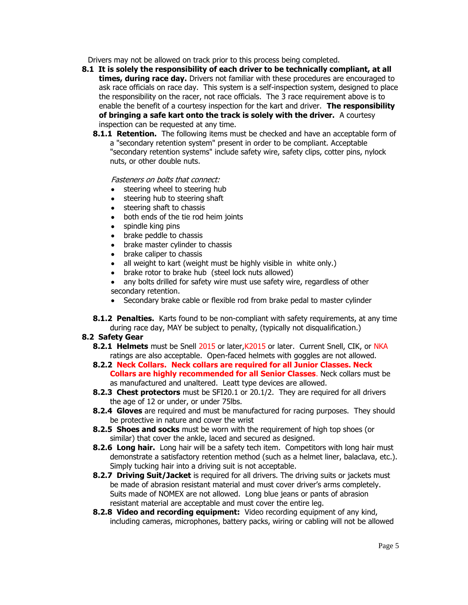Drivers may not be allowed on track prior to this process being completed.

- **8.1 It is solely the responsibility of each driver to be technically compliant, at all times, during race day.** Drivers not familiar with these procedures are encouraged to ask race officials on race day. This system is a self-inspection system, designed to place the responsibility on the racer, not race officials. The 3 race requirement above is to enable the benefit of a courtesy inspection for the kart and driver. **The responsibility of bringing a safe kart onto the track is solely with the driver.** A courtesy inspection can be requested at any time.
	- **8.1.1 Retention.** The following items must be checked and have an acceptable form of a "secondary retention system" present in order to be compliant. Acceptable "secondary retention systems" include safety wire, safety clips, cotter pins, nylock nuts, or other double nuts.

## Fasteners on bolts that connect:

- steering wheel to steering hub
- steering hub to steering shaft
- steering shaft to chassis
- both ends of the tie rod heim joints
- spindle king pins
- brake peddle to chassis
- brake master cylinder to chassis
- brake caliper to chassis
- all weight to kart (weight must be highly visible in white only.)
- brake rotor to brake hub (steel lock nuts allowed)
- any bolts drilled for safety wire must use safety wire, regardless of other secondary retention.
- Secondary brake cable or flexible rod from brake pedal to master cylinder
- **8.1.2 Penalties.** Karts found to be non-compliant with safety requirements, at any time during race day, MAY be subject to penalty, (typically not disqualification.)

# **8.2 Safety Gear**

- **8.2.1 Helmets** must be Snell 2015 or later, K2015 or later. Current Snell, CIK, or NKA ratings are also acceptable. Open-faced helmets with goggles are not allowed.
- **8.2.2 Neck Collars. Neck collars are required for all Junior Classes. Neck Collars are highly recommended for all Senior Classes**. Neck collars must be as manufactured and unaltered. Leatt type devices are allowed.
- **8.2.3 Chest protectors** must be SFI20.1 or 20.1/2. They are required for all drivers the age of 12 or under, or under 75lbs.
- **8.2.4 Gloves** are required and must be manufactured for racing purposes. They should be protective in nature and cover the wrist
- **8.2.5 Shoes and socks** must be worn with the requirement of high top shoes (or similar) that cover the ankle, laced and secured as designed.
- **8.2.6 Long hair.** Long hair will be a safety tech item. Competitors with long hair must demonstrate a satisfactory retention method (such as a helmet liner, balaclava, etc.). Simply tucking hair into a driving suit is not acceptable.
- **8.2.7 Driving Suit/Jacket** is required for all drivers. The driving suits or jackets must be made of abrasion resistant material and must cover driver's arms completely. Suits made of NOMEX are not allowed. Long blue jeans or pants of abrasion resistant material are acceptable and must cover the entire leg.
- **8.2.8 Video and recording equipment:** Video recording equipment of any kind, including cameras, microphones, battery packs, wiring or cabling will not be allowed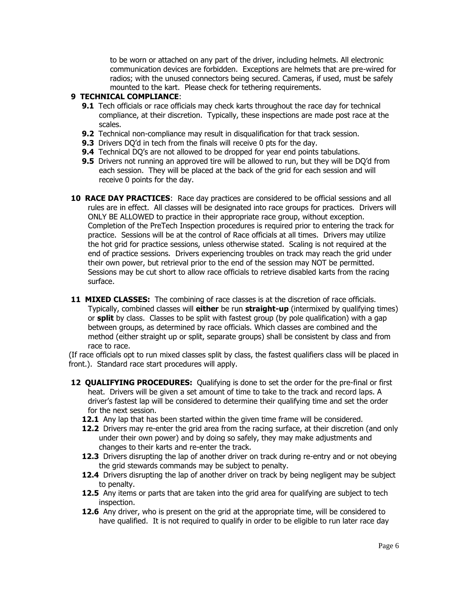to be worn or attached on any part of the driver, including helmets. All electronic communication devices are forbidden. Exceptions are helmets that are pre-wired for radios; with the unused connectors being secured. Cameras, if used, must be safely mounted to the kart. Please check for tethering requirements.

#### **9 TECHNICAL COMPLIANCE**:

- **9.1** Tech officials or race officials may check karts throughout the race day for technical compliance, at their discretion. Typically, these inspections are made post race at the scales.
- **9.2** Technical non-compliance may result in disqualification for that track session.
- **9.3** Drivers DO'd in tech from the finals will receive 0 pts for the day.
- **9.4** Technical DQ's are not allowed to be dropped for year end points tabulations.
- **9.5** Drivers not running an approved tire will be allowed to run, but they will be DO'd from each session. They will be placed at the back of the grid for each session and will receive 0 points for the day.
- **10 RACE DAY PRACTICES:** Race day practices are considered to be official sessions and all rules are in effect. All classes will be designated into race groups for practices. Drivers will ONLY BE ALLOWED to practice in their appropriate race group, without exception. Completion of the PreTech Inspection procedures is required prior to entering the track for practice. Sessions will be at the control of Race officials at all times. Drivers may utilize the hot grid for practice sessions, unless otherwise stated. Scaling is not required at the end of practice sessions. Drivers experiencing troubles on track may reach the grid under their own power, but retrieval prior to the end of the session may NOT be permitted. Sessions may be cut short to allow race officials to retrieve disabled karts from the racing surface.
- **11 MIXED CLASSES:** The combining of race classes is at the discretion of race officials. Typically, combined classes will **either** be run **straight-up** (intermixed by qualifying times) or **split** by class. Classes to be split with fastest group (by pole qualification) with a gap between groups, as determined by race officials. Which classes are combined and the method (either straight up or split, separate groups) shall be consistent by class and from race to race.

(If race officials opt to run mixed classes split by class, the fastest qualifiers class will be placed in front.). Standard race start procedures will apply.

- **12 QUALIFYING PROCEDURES:** Qualifying is done to set the order for the pre-final or first heat. Drivers will be given a set amount of time to take to the track and record laps. A driver's fastest lap will be considered to determine their qualifying time and set the order for the next session.
	- **12.1** Any lap that has been started within the given time frame will be considered.
	- 12.2 Drivers may re-enter the grid area from the racing surface, at their discretion (and only under their own power) and by doing so safely, they may make adjustments and changes to their karts and re-enter the track.
	- **12.3** Drivers disrupting the lap of another driver on track during re-entry and or not obeying the grid stewards commands may be subject to penalty.
	- 12.4 Drivers disrupting the lap of another driver on track by being negligent may be subject to penalty.
	- **12.5** Any items or parts that are taken into the grid area for qualifying are subject to tech inspection.
	- **12.6** Any driver, who is present on the grid at the appropriate time, will be considered to have qualified. It is not required to qualify in order to be eligible to run later race day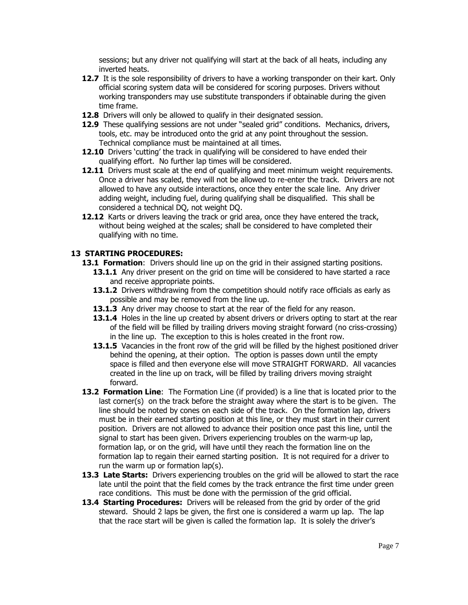sessions; but any driver not qualifying will start at the back of all heats, including any inverted heats.

- **12.7** It is the sole responsibility of drivers to have a working transponder on their kart. Only official scoring system data will be considered for scoring purposes. Drivers without working transponders may use substitute transponders if obtainable during the given time frame.
- **12.8** Drivers will only be allowed to qualify in their designated session.
- **12.9** These qualifying sessions are not under "sealed grid" conditions. Mechanics, drivers, tools, etc. may be introduced onto the grid at any point throughout the session. Technical compliance must be maintained at all times.
- **12.10** Drivers 'cutting' the track in qualifying will be considered to have ended their qualifying effort. No further lap times will be considered.
- **12.11** Drivers must scale at the end of qualifying and meet minimum weight requirements. Once a driver has scaled, they will not be allowed to re-enter the track. Drivers are not allowed to have any outside interactions, once they enter the scale line. Any driver adding weight, including fuel, during qualifying shall be disqualified. This shall be considered a technical DQ, not weight DQ.
- **12.12** Karts or drivers leaving the track or grid area, once they have entered the track, without being weighed at the scales; shall be considered to have completed their qualifying with no time.

## **13 STARTING PROCEDURES:**

- **13.1 Formation**: Drivers should line up on the grid in their assigned starting positions.
	- **13.1.1** Any driver present on the grid on time will be considered to have started a race and receive appropriate points.
	- **13.1.2** Drivers withdrawing from the competition should notify race officials as early as possible and may be removed from the line up.
	- **13.1.3** Any driver may choose to start at the rear of the field for any reason.
	- **13.1.4** Holes in the line up created by absent drivers or drivers opting to start at the rear of the field will be filled by trailing drivers moving straight forward (no criss-crossing) in the line up. The exception to this is holes created in the front row.
	- 13.1.5 Vacancies in the front row of the grid will be filled by the highest positioned driver behind the opening, at their option. The option is passes down until the empty space is filled and then everyone else will move STRAIGHT FORWARD. All vacancies created in the line up on track, will be filled by trailing drivers moving straight forward.
- **13.2 Formation Line**: The Formation Line (if provided) is a line that is located prior to the last corner(s) on the track before the straight away where the start is to be given. The line should be noted by cones on each side of the track. On the formation lap, drivers must be in their earned starting position at this line, or they must start in their current position. Drivers are not allowed to advance their position once past this line, until the signal to start has been given. Drivers experiencing troubles on the warm-up lap, formation lap, or on the grid, will have until they reach the formation line on the formation lap to regain their earned starting position. It is not required for a driver to run the warm up or formation lap(s).
- 13.3 Late Starts: Drivers experiencing troubles on the grid will be allowed to start the race late until the point that the field comes by the track entrance the first time under green race conditions. This must be done with the permission of the grid official.
- **13.4 Starting Procedures:** Drivers will be released from the grid by order of the grid steward. Should 2 laps be given, the first one is considered a warm up lap. The lap that the race start will be given is called the formation lap. It is solely the driver's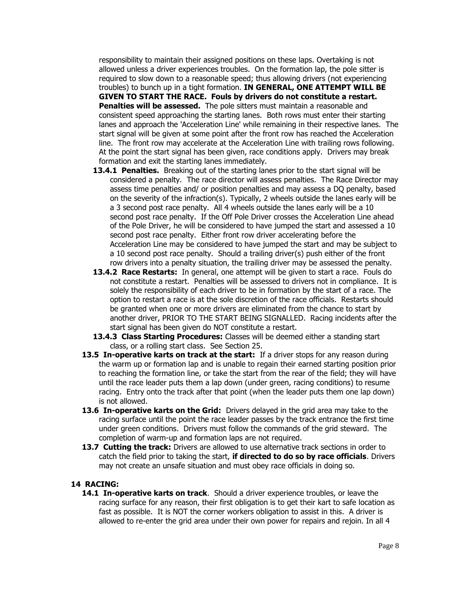responsibility to maintain their assigned positions on these laps. Overtaking is not allowed unless a driver experiences troubles. On the formation lap, the pole sitter is required to slow down to a reasonable speed; thus allowing drivers (not experiencing troubles) to bunch up in a tight formation. **IN GENERAL, ONE ATTEMPT WILL BE GIVEN TO START THE RACE. Fouls by drivers do not constitute a restart. Penalties will be assessed.** The pole sitters must maintain a reasonable and consistent speed approaching the starting lanes. Both rows must enter their starting lanes and approach the 'Acceleration Line' while remaining in their respective lanes. The start signal will be given at some point after the front row has reached the Acceleration line. The front row may accelerate at the Acceleration Line with trailing rows following. At the point the start signal has been given, race conditions apply. Drivers may break formation and exit the starting lanes immediately.

- **13.4.1 Penalties.** Breaking out of the starting lanes prior to the start signal will be considered a penalty. The race director will assess penalties. The Race Director may assess time penalties and/ or position penalties and may assess a DQ penalty, based on the severity of the infraction(s). Typically, 2 wheels outside the lanes early will be a 3 second post race penalty. All 4 wheels outside the lanes early will be a 10 second post race penalty. If the Off Pole Driver crosses the Acceleration Line ahead of the Pole Driver, he will be considered to have jumped the start and assessed a 10 second post race penalty. Either front row driver accelerating before the Acceleration Line may be considered to have jumped the start and may be subject to a 10 second post race penalty. Should a trailing driver(s) push either of the front row drivers into a penalty situation, the trailing driver may be assessed the penalty.
- **13.4.2 Race Restarts:** In general, one attempt will be given to start a race. Fouls do not constitute a restart. Penalties will be assessed to drivers not in compliance. It is solely the responsibility of each driver to be in formation by the start of a race. The option to restart a race is at the sole discretion of the race officials. Restarts should be granted when one or more drivers are eliminated from the chance to start by another driver, PRIOR TO THE START BEING SIGNALLED. Racing incidents after the start signal has been given do NOT constitute a restart.
- **13.4.3 Class Starting Procedures:** Classes will be deemed either a standing start class, or a rolling start class. See Section 25.
- **13.5 In-operative karts on track at the start:** If a driver stops for any reason during the warm up or formation lap and is unable to regain their earned starting position prior to reaching the formation line, or take the start from the rear of the field; they will have until the race leader puts them a lap down (under green, racing conditions) to resume racing. Entry onto the track after that point (when the leader puts them one lap down) is not allowed.
- **13.6 In-operative karts on the Grid:** Drivers delayed in the grid area may take to the racing surface until the point the race leader passes by the track entrance the first time under green conditions. Drivers must follow the commands of the grid steward. The completion of warm-up and formation laps are not required.
- **13.7 Cutting the track:** Drivers are allowed to use alternative track sections in order to catch the field prior to taking the start, **if directed to do so by race officials**. Drivers may not create an unsafe situation and must obey race officials in doing so.

#### **14 RACING:**

**14.1 In-operative karts on track**. Should a driver experience troubles, or leave the racing surface for any reason, their first obligation is to get their kart to safe location as fast as possible. It is NOT the corner workers obligation to assist in this. A driver is allowed to re-enter the grid area under their own power for repairs and rejoin. In all 4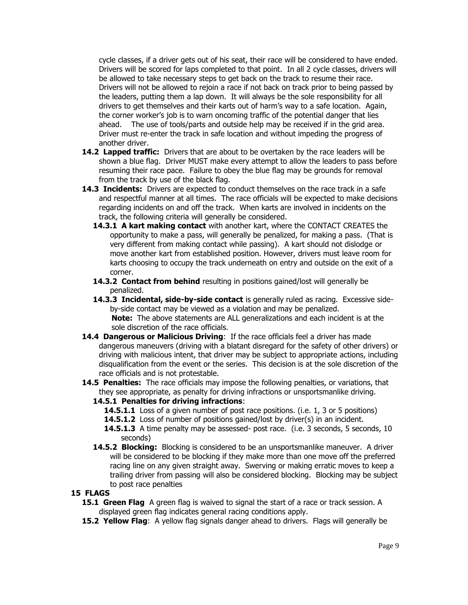cycle classes, if a driver gets out of his seat, their race will be considered to have ended. Drivers will be scored for laps completed to that point. In all 2 cycle classes, drivers will be allowed to take necessary steps to get back on the track to resume their race. Drivers will not be allowed to rejoin a race if not back on track prior to being passed by the leaders, putting them a lap down. It will always be the sole responsibility for all drivers to get themselves and their karts out of harm's way to a safe location. Again, the corner worker's job is to warn oncoming traffic of the potential danger that lies ahead. The use of tools/parts and outside help may be received if in the grid area. Driver must re-enter the track in safe location and without impeding the progress of another driver.

- **14.2 Lapped traffic:** Drivers that are about to be overtaken by the race leaders will be shown a blue flag. Driver MUST make every attempt to allow the leaders to pass before resuming their race pace. Failure to obey the blue flag may be grounds for removal from the track by use of the black flag.
- **14.3 Incidents:** Drivers are expected to conduct themselves on the race track in a safe and respectful manner at all times. The race officials will be expected to make decisions regarding incidents on and off the track. When karts are involved in incidents on the track, the following criteria will generally be considered.
	- **14.3.1 A kart making contact** with another kart, where the CONTACT CREATES the opportunity to make a pass, will generally be penalized, for making a pass. (That is very different from making contact while passing). A kart should not dislodge or move another kart from established position. However, drivers must leave room for karts choosing to occupy the track underneath on entry and outside on the exit of a corner.
	- **14.3.2 Contact from behind** resulting in positions gained/lost will generally be penalized.
	- **14.3.3 Incidental, side-by-side contact** is generally ruled as racing. Excessive sideby-side contact may be viewed as a violation and may be penalized. **Note:** The above statements are ALL generalizations and each incident is at the sole discretion of the race officials.
- **14.4 Dangerous or Malicious Driving**: If the race officials feel a driver has made dangerous maneuvers (driving with a blatant disregard for the safety of other drivers) or driving with malicious intent, that driver may be subject to appropriate actions, including disqualification from the event or the series. This decision is at the sole discretion of the race officials and is not protestable.
- **14.5 Penalties:** The race officials may impose the following penalties, or variations, that they see appropriate, as penalty for driving infractions or unsportsmanlike driving.

## **14.5.1 Penalties for driving infractions**:

- **14.5.1.1** Loss of a given number of post race positions. (i.e. 1, 3 or 5 positions)
- **14.5.1.2** Loss of number of positions gained/lost by driver(s) in an incident.
- **14.5.1.3** A time penalty may be assessed- post race. (i.e. 3 seconds, 5 seconds, 10 seconds)
- **14.5.2 Blocking:** Blocking is considered to be an unsportsmanlike maneuver. A driver will be considered to be blocking if they make more than one move off the preferred racing line on any given straight away. Swerving or making erratic moves to keep a trailing driver from passing will also be considered blocking. Blocking may be subject to post race penalties

## **15 FLAGS**

- **15.1 Green Flag** A green flag is waived to signal the start of a race or track session. A displayed green flag indicates general racing conditions apply.
- **15.2 Yellow Flag**: A yellow flag signals danger ahead to drivers. Flags will generally be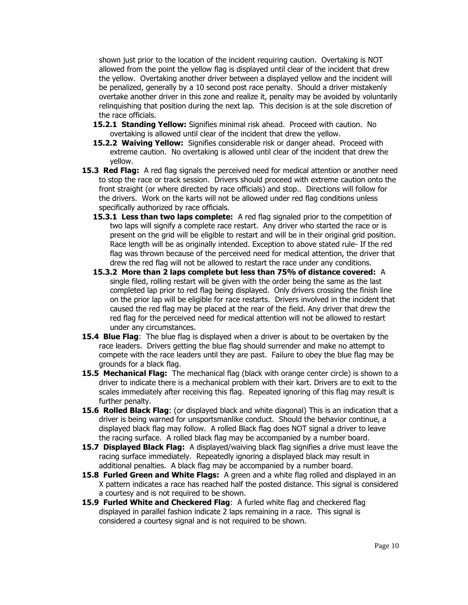shown just prior to the location of the incident requiring caution. Overtaking is NOT allowed from the point the yellow flag is displayed until clear of the incident that drew the yellow. Overtaking another driver between a displayed yellow and the incident will be penalized, generally by a 10 second post race penalty. Should a driver mistakenly overtake another driver in this zone and realize it, penalty may be avoided by voluntarily relinquishing that position during the next lap. This decision is at the sole discretion of the race officials.

- **15.2.1 Standing Yellow:** Signifies minimal risk ahead. Proceed with caution. No overtaking is allowed until clear of the incident that drew the yellow.
- **15.2.2 Waiving Yellow:** Signifies considerable risk or danger ahead. Proceed with extreme caution. No overtaking is allowed until clear of the incident that drew the yellow.
- **15.3 Red Flag:** A red flag signals the perceived need for medical attention or another need to stop the race or track session. Drivers should proceed with extreme caution onto the front straight (or where directed by race officials) and stop.. Directions will follow for the drivers. Work on the karts will not be allowed under red flag conditions unless specifically authorized by race officials.
	- **15.3.1 Less than two laps complete:** A red flag signaled prior to the competition of two laps will signify a complete race restart. Any driver who started the race or is present on the grid will be eligible to restart and will be in their original grid position. Race length will be as originally intended. Exception to above stated rule- If the red flag was thrown because of the perceived need for medical attention, the driver that drew the red flag will not be allowed to restart the race under any conditions.
	- **15.3.2 More than 2 laps complete but less than 75% of distance covered:** A single filed, rolling restart will be given with the order being the same as the last completed lap prior to red flag being displayed. Only drivers crossing the finish line on the prior lap will be eligible for race restarts. Drivers involved in the incident that caused the red flag may be placed at the rear of the field. Any driver that drew the red flag for the perceived need for medical attention will not be allowed to restart under any circumstances.
- **15.4 Blue Flag**: The blue flag is displayed when a driver is about to be overtaken by the race leaders. Drivers getting the blue flag should surrender and make no attempt to compete with the race leaders until they are past. Failure to obey the blue flag may be grounds for a black flag.
- **15.5 Mechanical Flag:** The mechanical flag (black with orange center circle) is shown to a driver to indicate there is a mechanical problem with their kart. Drivers are to exit to the scales immediately after receiving this flag. Repeated ignoring of this flag may result is further penalty.
- **15.6 Rolled Black Flag**: (or displayed black and white diagonal) This is an indication that a driver is being warned for unsportsmanlike conduct. Should the behavior continue, a displayed black flag may follow. A rolled Black flag does NOT signal a driver to leave the racing surface. A rolled black flag may be accompanied by a number board.
- **15.7 Displayed Black Flag:** A displayed/waiving black flag signifies a drive must leave the racing surface immediately. Repeatedly ignoring a displayed black may result in additional penalties. A black flag may be accompanied by a number board.
- **15.8 Furled Green and White Flags:** A green and a white flag rolled and displayed in an X pattern indicates a race has reached half the posted distance. This signal is considered a courtesy and is not required to be shown.
- **15.9 Furled White and Checkered Flag**: A furled white flag and checkered flag displayed in parallel fashion indicate 2 laps remaining in a race. This signal is considered a courtesy signal and is not required to be shown.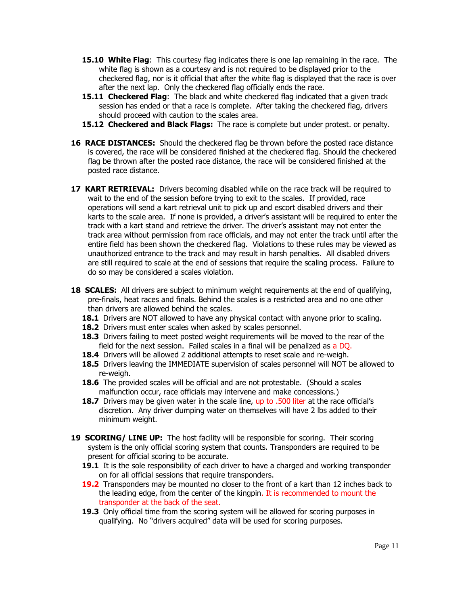- **15.10 White Flag**: This courtesy flag indicates there is one lap remaining in the race. The white flag is shown as a courtesy and is not required to be displayed prior to the checkered flag, nor is it official that after the white flag is displayed that the race is over after the next lap. Only the checkered flag officially ends the race.
- **15.11 Checkered Flag**: The black and white checkered flag indicated that a given track session has ended or that a race is complete. After taking the checkered flag, drivers should proceed with caution to the scales area.
- **15.12 Checkered and Black Flags:** The race is complete but under protest. or penalty.
- **16 RACE DISTANCES:** Should the checkered flag be thrown before the posted race distance is covered, the race will be considered finished at the checkered flag. Should the checkered flag be thrown after the posted race distance, the race will be considered finished at the posted race distance.
- **17 KART RETRIEVAL:** Drivers becoming disabled while on the race track will be required to wait to the end of the session before trying to exit to the scales. If provided, race operations will send a kart retrieval unit to pick up and escort disabled drivers and their karts to the scale area. If none is provided, a driver's assistant will be required to enter the track with a kart stand and retrieve the driver. The driver's assistant may not enter the track area without permission from race officials, and may not enter the track until after the entire field has been shown the checkered flag. Violations to these rules may be viewed as unauthorized entrance to the track and may result in harsh penalties. All disabled drivers are still required to scale at the end of sessions that require the scaling process. Failure to do so may be considered a scales violation.
- **18 SCALES:** All drivers are subject to minimum weight requirements at the end of qualifying, pre-finals, heat races and finals. Behind the scales is a restricted area and no one other than drivers are allowed behind the scales.
	- **18.1** Drivers are NOT allowed to have any physical contact with anyone prior to scaling.
	- **18.2** Drivers must enter scales when asked by scales personnel.
	- **18.3** Drivers failing to meet posted weight requirements will be moved to the rear of the field for the next session. Failed scales in a final will be penalized as a DQ.
	- **18.4** Drivers will be allowed 2 additional attempts to reset scale and re-weigh.
	- **18.5** Drivers leaving the IMMEDIATE supervision of scales personnel will NOT be allowed to re-weigh.
	- **18.6** The provided scales will be official and are not protestable. (Should a scales malfunction occur, race officials may intervene and make concessions.)
	- **18.7** Drivers may be given water in the scale line, up to .500 liter at the race official's discretion. Any driver dumping water on themselves will have 2 lbs added to their minimum weight.
- 19 **SCORING/ LINE UP:** The host facility will be responsible for scoring. Their scoring system is the only official scoring system that counts. Transponders are required to be present for official scoring to be accurate.
	- **19.1** It is the sole responsibility of each driver to have a charged and working transponder on for all official sessions that require transponders.
	- **19.2** Transponders may be mounted no closer to the front of a kart than 12 inches back to the leading edge, from the center of the kingpin. It is recommended to mount the transponder at the back of the seat.
	- **19.3** Only official time from the scoring system will be allowed for scoring purposes in qualifying. No "drivers acquired" data will be used for scoring purposes.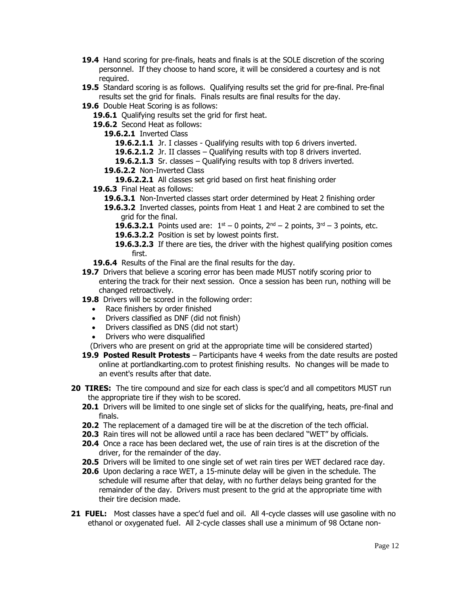- **19.4** Hand scoring for pre-finals, heats and finals is at the SOLE discretion of the scoring personnel. If they choose to hand score, it will be considered a courtesy and is not required.
- **19.5** Standard scoring is as follows. Qualifying results set the grid for pre-final. Pre-final results set the grid for finals. Finals results are final results for the day.
- **19.6** Double Heat Scoring is as follows:
	- **19.6.1** Qualifying results set the grid for first heat.
	- **19.6.2** Second Heat as follows:
		- **19.6.2.1** Inverted Class
			- **19.6.2.1.1** Jr. I classes Qualifying results with top 6 drivers inverted.
			- **19.6.2.1.2** Jr. II classes Qualifying results with top 8 drivers inverted.
			- **19.6.2.1.3** Sr. classes Qualifying results with top 8 drivers inverted.
		- **19.6.2.2** Non-Inverted Class
			- **19.6.2.2.1** All classes set grid based on first heat finishing order
	- **19.6.3** Final Heat as follows:
		- **19.6.3.1** Non-Inverted classes start order determined by Heat 2 finishing order
		- **19.6.3.2** Inverted classes, points from Heat 1 and Heat 2 are combined to set the grid for the final.
			- **19.6.3.2.1** Points used are:  $1^{st} 0$  points,  $2^{nd} 2$  points,  $3^{rd} 3$  points, etc.
			- **19.6.3.2.2** Position is set by lowest points first.
			- **19.6.3.2.3** If there are ties, the driver with the highest qualifying position comes first.
	- **19.6.4** Results of the Final are the final results for the day.
- **19.7** Drivers that believe a scoring error has been made MUST notify scoring prior to entering the track for their next session. Once a session has been run, nothing will be changed retroactively.
- **19.8** Drivers will be scored in the following order:
	- Race finishers by order finished
	- Drivers classified as DNF (did not finish)
	- Drivers classified as DNS (did not start)
	- Drivers who were disqualified

(Drivers who are present on grid at the appropriate time will be considered started)

- **19.9 Posted Result Protests** Participants have 4 weeks from the date results are posted online at portlandkarting.com to protest finishing results. No changes will be made to an event's results after that date.
- **20 TIRES:** The tire compound and size for each class is spec'd and all competitors MUST run the appropriate tire if they wish to be scored.
	- **20.1** Drivers will be limited to one single set of slicks for the qualifying, heats, pre-final and finals.
	- **20.2** The replacement of a damaged tire will be at the discretion of the tech official.
	- **20.3** Rain tires will not be allowed until a race has been declared "WET" by officials.
	- **20.4** Once a race has been declared wet, the use of rain tires is at the discretion of the driver, for the remainder of the day.
	- **20.5** Drivers will be limited to one single set of wet rain tires per WET declared race day.
	- **20.6** Upon declaring a race WET, a 15-minute delay will be given in the schedule. The schedule will resume after that delay, with no further delays being granted for the remainder of the day. Drivers must present to the grid at the appropriate time with their tire decision made.
- **21 FUEL:** Most classes have a spec'd fuel and oil. All 4-cycle classes will use gasoline with no ethanol or oxygenated fuel. All 2-cycle classes shall use a minimum of 98 Octane non-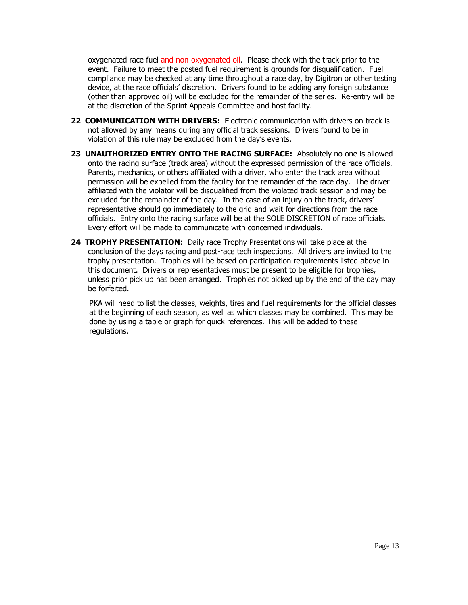oxygenated race fuel and non-oxygenated oil. Please check with the track prior to the event. Failure to meet the posted fuel requirement is grounds for disqualification. Fuel compliance may be checked at any time throughout a race day, by Digitron or other testing device, at the race officials' discretion. Drivers found to be adding any foreign substance (other than approved oil) will be excluded for the remainder of the series. Re-entry will be at the discretion of the Sprint Appeals Committee and host facility.

- **22 COMMUNICATION WITH DRIVERS:** Electronic communication with drivers on track is not allowed by any means during any official track sessions. Drivers found to be in violation of this rule may be excluded from the day's events.
- **23 UNAUTHORIZED ENTRY ONTO THE RACING SURFACE:** Absolutely no one is allowed onto the racing surface (track area) without the expressed permission of the race officials. Parents, mechanics, or others affiliated with a driver, who enter the track area without permission will be expelled from the facility for the remainder of the race day. The driver affiliated with the violator will be disqualified from the violated track session and may be excluded for the remainder of the day. In the case of an injury on the track, drivers' representative should go immediately to the grid and wait for directions from the race officials. Entry onto the racing surface will be at the SOLE DISCRETION of race officials. Every effort will be made to communicate with concerned individuals.
- **24 TROPHY PRESENTATION:** Daily race Trophy Presentations will take place at the conclusion of the days racing and post-race tech inspections. All drivers are invited to the trophy presentation. Trophies will be based on participation requirements listed above in this document. Drivers or representatives must be present to be eligible for trophies, unless prior pick up has been arranged. Trophies not picked up by the end of the day may be forfeited.

PKA will need to list the classes, weights, tires and fuel requirements for the official classes at the beginning of each season, as well as which classes may be combined. This may be done by using a table or graph for quick references. This will be added to these regulations.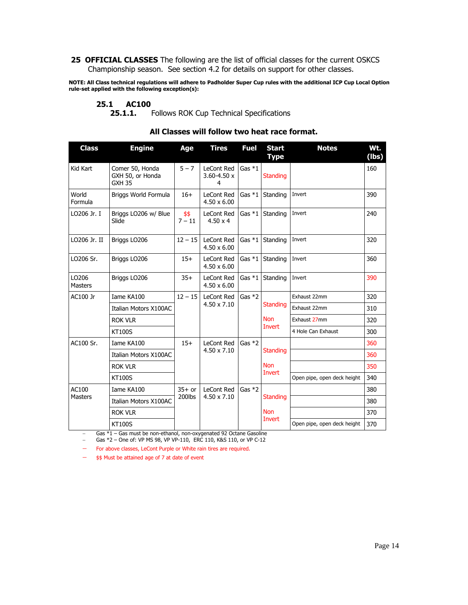**25 OFFICIAL CLASSES** The following are the list of official classes for the current OSKCS Championship season. See section 4.2 for details on support for other classes.

**NOTE: All Class technical regulations will adhere to Padholder Super Cup rules with the additional ICP Cup Local Option rule-set applied with the following exception(s):**

#### **25.1 AC100**

25.1.1. Follows ROK Cup Technical Specifications

| <b>Class</b>            | <b>Engine</b>                                        | Age              | <b>Tires</b>                            | <b>Fuel</b> | <b>Start</b><br><b>Type</b>             | <b>Notes</b>                | Wt.<br>(lbs) |
|-------------------------|------------------------------------------------------|------------------|-----------------------------------------|-------------|-----------------------------------------|-----------------------------|--------------|
| Kid Kart                | Comer 50, Honda<br>GXH 50, or Honda<br><b>GXH 35</b> | $5 - 7$          | LeCont Red<br>$3.60 - 4.50 x$<br>4      | Gas $*1$    | <b>Standing</b>                         |                             | 160          |
| World<br>Formula        | Briggs World Formula                                 | $16+$            | <b>LeCont Red</b><br>$4.50 \times 6.00$ | Gas $*1$    | Standing                                | Invert                      | 390          |
| LO206 Jr. I             | Briggs LO206 w/ Blue<br>Slide                        | \$\$<br>$7 - 11$ | LeCont Red<br>$4.50 \times 4$           | Gas $*1$    | Standing                                | Invert                      | 240          |
| LO206 Jr. II            | Briggs LO206                                         | $12 - 15$        | LeCont Red<br>$4.50 \times 6.00$        | Gas $*1$    | Standing                                | Invert                      | 320          |
| LO206 Sr.               | Briggs LO206                                         | $15+$            | LeCont Red<br>$4.50 \times 6.00$        | Gas $*1$    | Standing                                | Invert                      | 360          |
| LO206<br><b>Masters</b> | Briggs LO206                                         | $35+$            | LeCont Red<br>$4.50 \times 6.00$        | Gas $*1$    | Standing                                | Invert                      | 390          |
| AC100 Jr                | Iame KA100                                           | $12 - 15$        | LeCont Red<br>$4.50 \times 7.10$        | Gas $*2$    | <b>Standing</b><br><b>Non</b><br>Invert | Exhaust 22mm                | 320          |
|                         | Italian Motors X100AC                                |                  |                                         |             |                                         | Exhaust 22mm                | 310          |
|                         | <b>ROK VLR</b>                                       |                  |                                         |             |                                         | Exhaust 27mm                | 320          |
|                         | <b>KT100S</b>                                        |                  |                                         |             |                                         | 4 Hole Can Exhaust          | 300          |
| AC100 Sr.               | Iame KA100                                           | $15+$            | LeCont Red<br>4.50 x 7.10               | Gas $*2$    | <b>Standing</b><br><b>Non</b><br>Invert |                             | 360          |
|                         | Italian Motors X100AC                                |                  |                                         |             |                                         |                             | 360          |
|                         | <b>ROK VLR</b>                                       |                  |                                         |             |                                         |                             | 350          |
|                         | <b>KT100S</b>                                        |                  |                                         |             |                                         | Open pipe, open deck height | 340          |
| AC100<br><b>Masters</b> | Iame KA100                                           | $35+$ or         | LeCont Red<br>$4.50 \times 7.10$        | Gas $*2$    | <b>Standing</b><br><b>Non</b><br>Invert |                             | 380          |
|                         | <b>Italian Motors X100AC</b>                         | 200lbs           |                                         |             |                                         |                             | 380          |
|                         | <b>ROK VLR</b>                                       |                  |                                         |             |                                         |                             | 370          |
|                         | <b>KT100S</b>                                        |                  |                                         |             |                                         | Open pipe, open deck height | 370          |

# **All Classes will follow two heat race format.**

− Gas \*1 – Gas must be non-ethanol, non-oxygenated 92 Octane Gasoline − Gas \*2 – One of: VP MS 98, VP VP-110, ERC 110, K&S 110, or VP C-12

− For above classes, LeCont Purple or White rain tires are required.

− \$\$ Must be attained age of 7 at date of event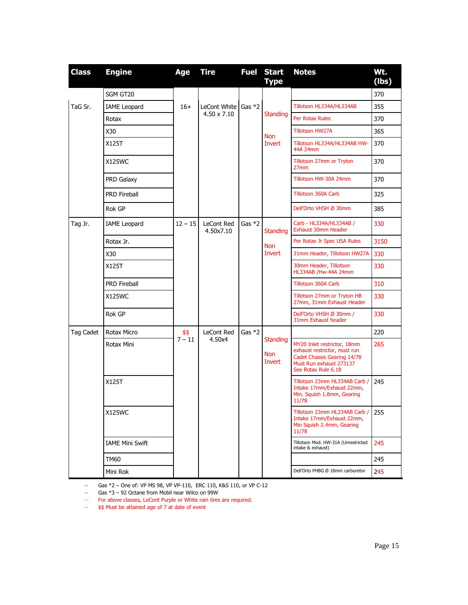| <b>Class</b> | <b>Engine</b>          | Age       | <b>Tire</b>                               |          | <b>Fuel Start</b><br><b>Type</b>        | <b>Notes</b>                                                                                                                                 | Wt.<br>(Ibs) |
|--------------|------------------------|-----------|-------------------------------------------|----------|-----------------------------------------|----------------------------------------------------------------------------------------------------------------------------------------------|--------------|
|              | SGM GT20               |           |                                           |          |                                         |                                                                                                                                              | 370          |
| TaG Sr.      | <b>IAME</b> Leopard    | $16+$     | LeCont White Gas *2<br>$4.50 \times 7.10$ |          | <b>Standing</b>                         | Tillotson HL334A/HL334AB                                                                                                                     | 355          |
|              | Rotax                  |           |                                           |          |                                         | Per Rotax Rules                                                                                                                              | 370          |
|              | X30                    |           |                                           |          | <b>Non</b>                              | <b>Tillotson HW27A</b>                                                                                                                       | 365          |
|              | X125T<br><b>Invert</b> |           | Tillotson HL334A/HL334AB HW-<br>44A 24mm  | 370      |                                         |                                                                                                                                              |              |
|              | X125WC                 |           |                                           |          |                                         | Tillotson 27mm or Tryton<br>27 <sub>mm</sub>                                                                                                 | 370          |
|              | PRD Galaxy             |           |                                           |          |                                         | Tillotson HW-30A 24mm                                                                                                                        | 370          |
|              | <b>PRD Fireball</b>    |           |                                           |          |                                         | <b>Tillotson 360A Carb</b>                                                                                                                   | 325          |
|              | Rok GP                 |           |                                           |          |                                         | Dell'Orto VHSH Ø 30mm                                                                                                                        | 385          |
| Tag Jr.      | <b>IAME</b> Leopard    | $12 - 15$ | LeCont Red<br>4.50x7.10                   | Gas $*2$ | <b>Standing</b>                         | Carb - HL334A/HL334AB /<br><b>Exhaust 30mm Header</b>                                                                                        | 330          |
|              | Rotax Jr.              |           |                                           |          | <b>Non</b>                              | Per Rotax Jr Spec USA Rules                                                                                                                  | 3150         |
|              | X30                    |           |                                           |          | Invert                                  | 31mm Header, Tillotson HW27A                                                                                                                 | 330          |
|              | X125T                  |           |                                           |          |                                         | 30mm Header, Tillotson<br>HL334AB / Hw-44A 24mm                                                                                              | 330          |
|              | <b>PRD Fireball</b>    |           |                                           |          |                                         | <b>Tillotson 360A Carb</b>                                                                                                                   | 310          |
|              | <b>X125WC</b>          |           |                                           |          |                                         | Tillotson 27mm or Tryton HB<br>27mm, 31mm Exhaust Header                                                                                     | 330          |
|              | Rok GP                 |           |                                           |          |                                         | Dell'Orto VHSH Ø 30mm /<br>31mm Exhaust header                                                                                               | 330          |
| Tag Cadet    | Rotax Micro            | \$\$      | LeCont Red<br>4.50x4                      | Gas *2   | <b>Standing</b><br><b>Non</b><br>Invert |                                                                                                                                              | 220          |
|              | Rotax Mini             | $7 - 11$  |                                           |          |                                         | MY20 Inlet restrictor, 18mm<br>exhaust restrictor, must run<br>Cadet Chassis Gearing 14/78<br>Must Run exhaust 273137<br>See Rotax Rule 6.18 | 265          |
|              | X125T                  |           |                                           |          |                                         | Tillotson 23mm HL334AB Carb /<br>Intake 17mm/Exhaust 22mm,<br>Min. Squish 1.8mm, Gearing<br>11/78                                            | 245          |
|              | <b>X125WC</b>          |           |                                           |          |                                         | Tillotson 23mm HL334AB Carb /<br>Intake 17mm/Exhaust 22mm,<br>Min Squish 2.4mm, Gearing<br>11/78                                             | 255          |
|              | <b>IAME Mini Swift</b> |           |                                           |          |                                         | Tillotson Mod. HW-31A (Unrestricted<br>intake & exhaust)                                                                                     | 245          |
|              | <b>TM60</b>            |           |                                           |          |                                         |                                                                                                                                              | 245          |
|              | Mini Rok               |           |                                           |          |                                         | Dell'Orto PHBG Ø 18mm carburetor                                                                                                             | 245          |

− Gas \*2 – One of: VP MS 98, VP VP-110, ERC 110, K&S 110, or VP C-12

− Gas \*3 – 92 Octane from Mobil near Wilco on 99W

− For above classes, LeCont Purple or White rain tires are required.

− \$\$ Must be attained age of 7 at date of event